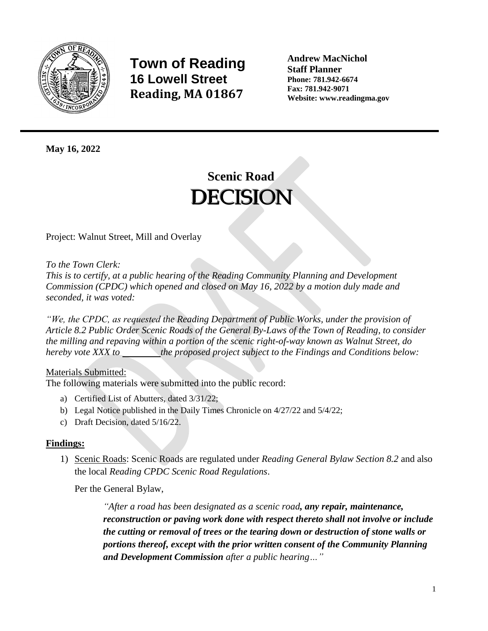

**Town of Reading 16 Lowell Street Reading, MA 01867**

**Andrew MacNichol Staff Planner Phone: 781.942-6674 Fax: 781.942-9071 Website: www.readingma.gov**

**May 16, 2022**

## **Scenic Road DECISION**

Project: Walnut Street, Mill and Overlay

*To the Town Clerk:*

*This is to certify, at a public hearing of the Reading Community Planning and Development Commission (CPDC) which opened and closed on May 16, 2022 by a motion duly made and seconded, it was voted:*

*"We, the CPDC, as requested the Reading Department of Public Works, under the provision of Article 8.2 Public Order Scenic Roads of the General By-Laws of the Town of Reading, to consider the milling and repaving within a portion of the scenic right-of-way known as Walnut Street, do hereby vote XXX to* the proposed project subject to the Findings and Conditions below:

## Materials Submitted:

The following materials were submitted into the public record:

- a) Certified List of Abutters, dated 3/31/22;
- b) Legal Notice published in the Daily Times Chronicle on 4/27/22 and 5/4/22;
- c) Draft Decision, dated 5/16/22.

## **Findings:**

1) Scenic Roads: Scenic Roads are regulated under *Reading General Bylaw Section 8.2* and also the local *Reading CPDC Scenic Road Regulations*.

Per the General Bylaw,

*"After a road has been designated as a scenic road, any repair, maintenance, reconstruction or paving work done with respect thereto shall not involve or include the cutting or removal of trees or the tearing down or destruction of stone walls or portions thereof, except with the prior written consent of the Community Planning and Development Commission after a public hearing…"*